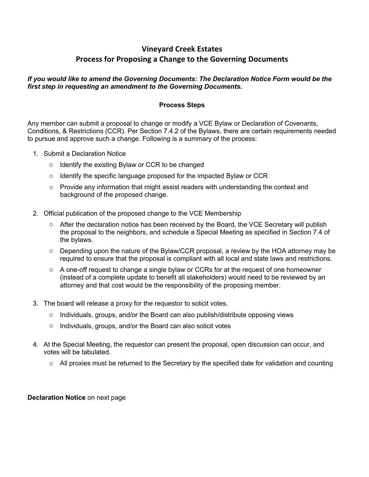# **Vineyard Creek Estates Process for Proposing a Change to the Governing Documents**

#### *If you would like to amend the Governing Documents: The Declaration Notice Form would be the first step in requesting an amendment to the Governing Documents.*

### **Process Steps**

Any member can submit a proposal to change or modify a VCE Bylaw or Declaration of Covenants, Conditions, & Restrictions (CCR). Per Section 7.4.2 of the Bylaws, there are certain requirements needed to pursue and approve such a change. Following is a summary of the process:

- 1. Submit a Declaration Notice
	- o Identify the existing Bylaw or CCR to be changed
	- $\circ$  Identify the specific language proposed for the impacted Bylaw or CCR
	- $\circ$  Provide any information that might assist readers with understanding the context and background of the proposed change.
- 2. Official publication of the proposed change to the VCE Membership
	- o After the declaration notice has been received by the Board, the VCE Secretary will publish the proposal to the neighbors, and schedule a Special Meeting as specified in Section 7.4 of the bylaws.
	- o Depending upon the nature of the Bylaw/CCR proposal, a review by the HOA attorney may be required to ensure that the proposal is compliant with all local and state laws and restrictions.
	- $\circ$  A one-off request to change a single bylaw or CCRs for at the request of one homeowner (instead of a complete update to benefit all stakeholders) would need to be reviewed by an attorney and that cost would be the responsibility of the proposing member.
- 3. The board will release a proxy for the requestor to solicit votes.
	- $\circ$  Individuals, groups, and/or the Board can also publish/distribute opposing views
	- $\circ$  Individuals, groups, and/or the Board can also solicit votes
- 4. At the Special Meeting, the requestor can present the proposal, open discussion can occur, and votes will be tabulated.
	- $\circ$  All proxies must be returned to the Secretary by the specified date for validation and counting

#### **Declaration Notice** on next page